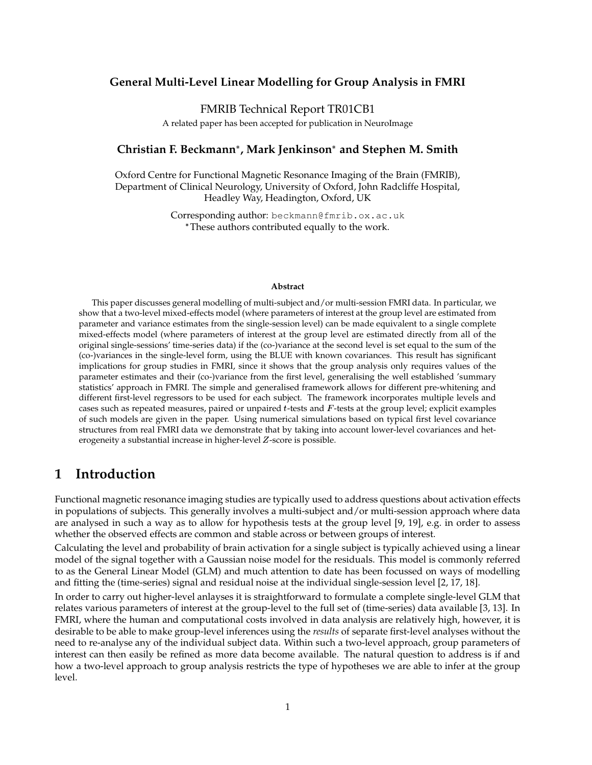### **General Multi-Level Linear Modelling for Group Analysis in FMRI**

### FMRIB Technical Report TR01CB1

A related paper has been accepted for publication in NeuroImage

### **Christian F. Beckmann , Mark Jenkinson and Stephen M. Smith**

Oxford Centre for Functional Magnetic Resonance Imaging of the Brain (FMRIB), Department of Clinical Neurology, University of Oxford, John Radcliffe Hospital, Headley Way, Headington, Oxford, UK

> Corresponding author: beckmann@fmrib.ox.ac.uk These authors contributed equally to the work.

#### **Abstract**

This paper discusses general modelling of multi-subject and/or multi-session FMRI data. In particular, we show that a two-level mixed-effects model (where parameters of interest at the group level are estimated from parameter and variance estimates from the single-session level) can be made equivalent to a single complete mixed-effects model (where parameters of interest at the group level are estimated directly from all of the original single-sessions' time-series data) if the (co-)variance at the second level is set equal to the sum of the (co-)variances in the single-level form, using the BLUE with known covariances. This result has significant implications for group studies in FMRI, since it shows that the group analysis only requires values of the parameter estimates and their (co-)variance from the first level, generalising the well established 'summary statistics' approach in FMRI. The simple and generalised framework allows for different pre-whitening and different first-level regressors to be used for each subject. The framework incorporates multiple levels and cases such as repeated measures, paired or unpaired  $t$ -tests and  $F$ -tests at the group level; explicit examples of such models are given in the paper. Using numerical simulations based on typical first level covariance structures from real FMRI data we demonstrate that by taking into account lower-level covariances and heterogeneity a substantial increase in higher-level Z-score is possible.

## **1 Introduction**

Functional magnetic resonance imaging studies are typically used to address questions about activation effects in populations of subjects. This generally involves a multi-subject and/or multi-session approach where data are analysed in such a way as to allow for hypothesis tests at the group level [9, 19], e.g. in order to assess whether the observed effects are common and stable across or between groups of interest.

Calculating the level and probability of brain activation for a single subject is typically achieved using a linear model of the signal together with a Gaussian noise model for the residuals. This model is commonly referred to as the General Linear Model (GLM) and much attention to date has been focussed on ways of modelling and fitting the (time-series) signal and residual noise at the individual single-session level [2, 17, 18].

In order to carry out higher-level anlayses it is straightforward to formulate a complete single-level GLM that relates various parameters of interest at the group-level to the full set of (time-series) data available [3, 13]. In FMRI, where the human and computational costs involved in data analysis are relatively high, however, it is desirable to be able to make group-level inferences using the *results* of separate first-level analyses without the need to re-analyse any of the individual subject data. Within such a two-level approach, group parameters of interest can then easily be refined as more data become available. The natural question to address is if and how a two-level approach to group analysis restricts the type of hypotheses we are able to infer at the group level.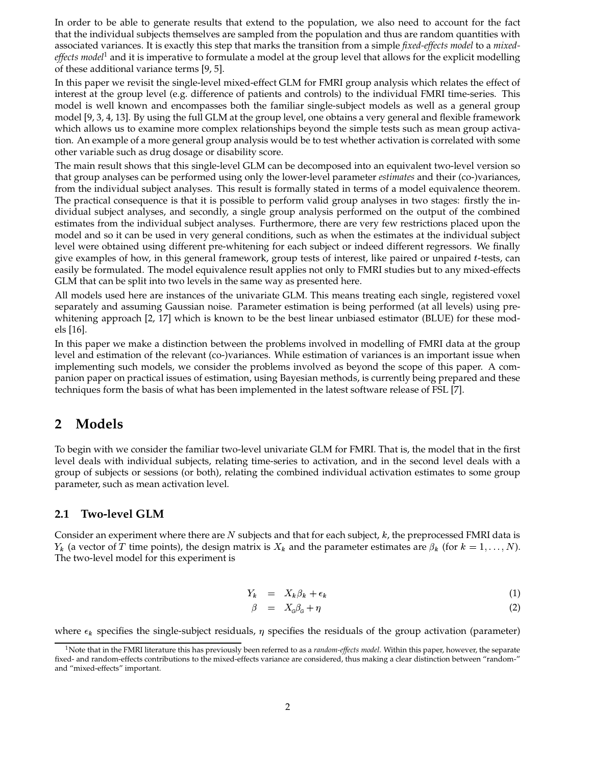In order to be able to generate results that extend to the population, we also need to account for the fact that the individual subjects themselves are sampled from the population and thus are random quantities with associated variances. It is exactly this step that marks the transition from a simple *fixed-effects model* to a *mixedeffects model*<sup>1</sup> and it is imperative to formulate a model at the group level that allows for the explicit modelling of these additional variance terms [9, 5].

In this paper we revisit the single-level mixed-effect GLM for FMRI group analysis which relates the effect of interest at the group level (e.g. difference of patients and controls) to the individual FMRI time-series. This model is well known and encompasses both the familiar single-subject models as well as a general group model [9, 3, 4, 13]. By using the full GLM at the group level, one obtains a very general and flexible framework which allows us to examine more complex relationships beyond the simple tests such as mean group activation. An example of a more general group analysis would be to test whether activation is correlated with some other variable such as drug dosage or disability score.

The main result shows that this single-level GLM can be decomposed into an equivalent two-level version so that group analyses can be performed using only the lower-level parameter *estimates* and their (co-)variances, from the individual subject analyses. This result is formally stated in terms of a model equivalence theorem. The practical consequence is that it is possible to perform valid group analyses in two stages: firstly the individual subject analyses, and secondly, a single group analysis performed on the output of the combined estimates from the individual subject analyses. Furthermore, there are very few restrictions placed upon the model and so it can be used in very general conditions, such as when the estimates at the individual subject level were obtained using different pre-whitening for each subject or indeed different regressors. We finally give examples of how, in this general framework, group tests of interest, like paired or unpaired  $t$ -tests, can easily be formulated. The model equivalence result applies not only to FMRI studies but to any mixed-effects GLM that can be split into two levels in the same way as presented here.

All models used here are instances of the univariate GLM. This means treating each single, registered voxel separately and assuming Gaussian noise. Parameter estimation is being performed (at all levels) using prewhitening approach [2, 17] which is known to be the best linear unbiased estimator (BLUE) for these models [16].

In this paper we make a distinction between the problems involved in modelling of FMRI data at the group level and estimation of the relevant (co-)variances. While estimation of variances is an important issue when implementing such models, we consider the problems involved as beyond the scope of this paper. A companion paper on practical issues of estimation, using Bayesian methods, is currently being prepared and these techniques form the basis of what has been implemented in the latest software release of FSL [7].

# **2 Models**

To begin with we consider the familiar two-level univariate GLM for FMRI. That is, the model that in the first level deals with individual subjects, relating time-series to activation, and in the second level deals with a group of subjects or sessions (or both), relating the combined individual activation estimates to some group parameter, such as mean activation level.

### **2.1 Two-level GLM**

Consider an experiment where there are  $N$  subjects and that for each subject,  $k$ , the preprocessed FMRI data is  $Y_k$  (a vector of T time points), the design matrix is  $X_k$  and the parameter estimates are  $\beta_k$  (for  $k = 1, \ldots, N$ ). The two-level model for this experiment is

$$
Y_k = X_k \beta_k + \epsilon_k \tag{1}
$$

$$
\beta = X_{\rm c}\beta_{\rm c} + \eta \tag{2}
$$

where  $\epsilon_k$  specifies the single-subject residuals,  $\eta$  specifies the residuals of the group activation (parameter)

<sup>1</sup>Note that in the FMRI literature this has previously been referred to as a *random-effects model*. Within this paper, however, the separate fixed- and random-effects contributions to the mixed-effects variance are considered, thus making a clear distinction between "random-" and "mixed-effects" important.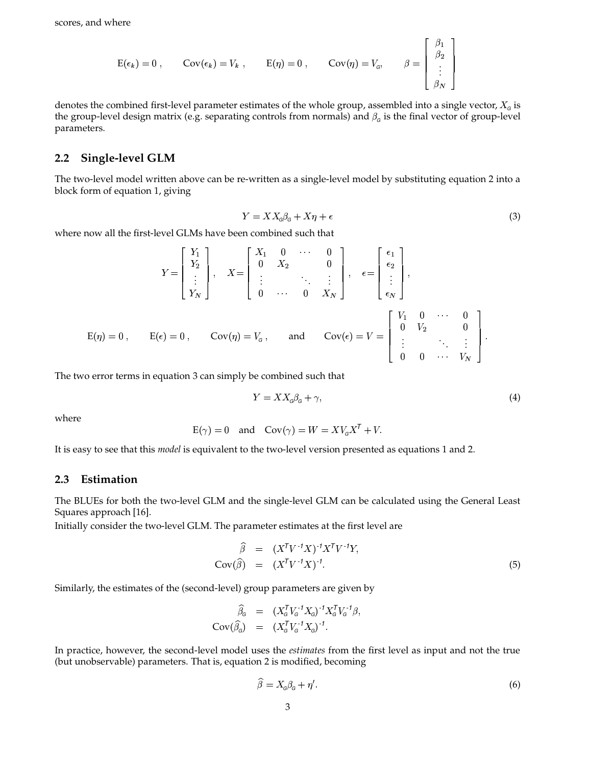$$
E(\epsilon_k) = 0
$$
,  $Cov(\epsilon_k) = V_k$ ,  $E(\eta) = 0$ ,  $Cov(\eta) = V_\sigma$ ,  $\beta = \begin{bmatrix} \beta_1 \\ \beta_2 \\ \vdots \\ \beta_N \end{bmatrix}$ 

denotes the combined first-level parameter estimates of the whole group, assembled into a single vector,  $X_{\sigma}$  is the group-level design matrix (e.g. separating controls from normals) and  $\beta_{\rm c}$  is the final vector of group-level parameters.

### **2.2 Single-level GLM**

The two-level model written above can be re-written as a single-level model by substituting equation 2 into a block form of equation 1, giving

$$
Y = X X_{\rm c} \beta_{\rm c} + X \eta + \epsilon \tag{3}
$$

<sup>23</sup>

where now all the first-level GLMs have been combined such that

$$
Y = \begin{bmatrix} Y_1 \\ Y_2 \\ \vdots \\ Y_N \end{bmatrix}, \quad X = \begin{bmatrix} X_1 & 0 & \cdots & 0 \\ 0 & X_2 & & 0 \\ \vdots & & \ddots & \vdots \\ 0 & \cdots & 0 & X_N \end{bmatrix}, \quad \epsilon = \begin{bmatrix} \epsilon_1 \\ \epsilon_2 \\ \vdots \\ \epsilon_N \end{bmatrix},
$$
  
\n
$$
E(\eta) = 0, \qquad E(\epsilon) = 0, \qquad Cov(\eta) = V_{\epsilon}, \qquad \text{and} \qquad Cov(\epsilon) = V = \begin{bmatrix} V_1 & 0 & \cdots & 0 \\ 0 & V_2 & & 0 \\ \vdots & & \ddots & \vdots \\ 0 & 0 & \cdots & V_N \end{bmatrix}.
$$

The two error terms in equation 3 can simply be combined such that

$$
Y = X X_{\mathcal{G}} \beta_{\mathcal{G}} + \gamma,\tag{4}
$$

where

$$
E(\gamma) = 0
$$
 and  $Cov(\gamma) = W = XV_0X^T + V$ .

It is easy to see that this *model* is equivalent to the two-level version presented as equations 1 and 2.

### **2.3 Estimation**

The BLUEs for both the two-level GLM and the single-level GLM can be calculated using the General Least Squares approach [16].

Initially consider the two-level GLM. The parameter estimates at the first level are

$$
\widehat{\beta} = (X^T V^{-1} X)^{-1} X^T V^{-1} Y,
$$
  
\n
$$
Cov(\widehat{\beta}) = (X^T V^{-1} X)^{-1}.
$$
\n(5)

Similarly, the estimates of the (second-level) group parameters are given by

$$
\widehat{\beta}_{\mathbf{G}} = (X_{\mathbf{G}}^{\mathsf{T}} V_{\mathbf{G}}^{-1} X_{\mathbf{G}})^{-1} X_{\mathbf{G}}^{\mathsf{T}} V_{\mathbf{G}}^{-1} \beta,
$$
  
\n
$$
Cov(\widehat{\beta}_{\mathbf{G}}) = (X_{\mathbf{G}}^{\mathsf{T}} V_{\mathbf{G}}^{-1} X_{\mathbf{G}})^{-1}.
$$

In practice, however, the second-level model uses the *estimates* from the first level as input and not the true (but unobservable) parameters. That is, equation 2 is modified, becoming

$$
\widehat{\beta} = X_{\alpha}\beta_{\alpha} + \eta'.
$$
\n<sup>(6)</sup>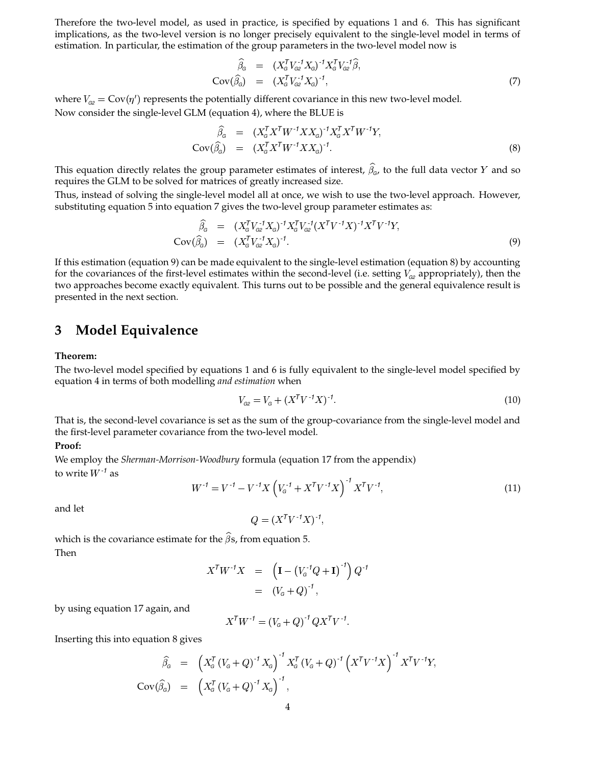Therefore the two-level model, as used in practice, is specified by equations 1 and 6. This has significant implications, as the two-level version is no longer precisely equivalent to the single-level model in terms of estimation. In particular, the estimation of the group parameters in the two-level model now is

$$
\widehat{\beta}_{G} = (X_{G}^{T} V_{G2}^{-1} X_{G})^{-1} X_{G}^{T} V_{G2}^{-1} \widehat{\beta},
$$
  
\n
$$
Cov(\widehat{\beta}_{G}) = (X_{G}^{T} V_{G2}^{-1} X_{G})^{-1},
$$
\n(7)

where  $V_{\text{G2}} = \text{Cov}(\eta')$  represents the potentially different covariance in this new two-level model. Now consider the single-level GLM (equation 4), where the BLUE is

$$
\widehat{\beta}_{\mathbf{G}} = (X_{\mathbf{G}}^T X^T W^{-1} X X_{\mathbf{G}})^{-1} X_{\mathbf{G}}^T X^T W^{-1} Y,
$$
  
\n
$$
\text{Cov}(\widehat{\beta}_{\mathbf{G}}) = (X_{\mathbf{G}}^T X^T W^{-1} X X_{\mathbf{G}})^{-1}.
$$
\n(8)

This equation directly relates the group parameter estimates of interest,  $\widehat{\beta}_{\sigma}$ , to the full data vector  $Y$  and so requires the GLM to be solved for matrices of greatly increased size.

Thus, instead of solving the single-level model all at once, we wish to use the two-level approach. However, substituting equation 5 into equation 7 gives the two-level group parameter estimates as:

$$
\widehat{\beta}_{G} = (X_{G}^{T} V_{G2}^{-1} X_{G})^{-1} X_{G}^{T} V_{G2}^{-1} (X^{T} V^{-1} X)^{-1} X^{T} V^{-1} Y,
$$
\n
$$
Cov(\widehat{\beta}_{G}) = (X_{G}^{T} V_{G2}^{-1} X_{G})^{-1}.
$$
\n(9)

If this estimation (equation 9) can be made equivalent to the single-level estimation (equation 8) by accounting for the covariances of the first-level estimates within the second-level (i.e. setting  $V_{\alpha}$  appropriately), then the two approaches become exactly equivalent. This turns out to be possible and the general equivalence result is presented in the next section.

## **3 Model Equivalence**

#### **Theorem:**

The two-level model specified by equations 1 and 6 is fully equivalent to the single-level model specified by equation 4 in terms of both modelling *and estimation* when

$$
V_{\text{G2}} = V_{\text{G}} + (X^T V^{-1} X)^{-1}.
$$
\n(10)

That is, the second-level covariance is set as the sum of the group-covariance from the single-level model and the first-level parameter covariance from the two-level model.

#### **Proof:**

We employ the *Sherman-Morrison-Woodbury* formula (equation 17 from the appendix) to write  $W^{-1}$  as

$$
W^{-1} = V^{-1} - V^{-1}X \left( V_c^{-1} + X^T V^{-1} X \right)^{-1} X^T V^{-1}, \tag{11}
$$

and let

 $=(X^TV^{-1}X)^{-1},$ 

which is the covariance estimate for the  $\hat{\beta}$ s, from equation 5. Then

$$
X^{T}W^{-1}X = \left(\mathbf{I} - (V_{G}^{-1}Q + \mathbf{I})^{-1}\right)Q^{-1}
$$
  
=  $(V_{G} + Q)^{-1}$ ,

by using equation 17 again, and

$$
X^{T}W^{-1} = (V_{G} + Q)^{-1}QX^{T}V^{-1}.
$$

Inserting this into equation 8 gives

$$
\widehat{\beta}_{G} = \left( X_{G}^{T} (V_{G} + Q)^{-1} X_{G} \right)^{-1} X_{G}^{T} (V_{G} + Q)^{-1} \left( X^{T} V^{-1} X \right)^{-1} X^{T} V^{-1} Y,
$$
\n
$$
Cov(\widehat{\beta}_{G}) = \left( X_{G}^{T} (V_{G} + Q)^{-1} X_{G} \right)^{-1},
$$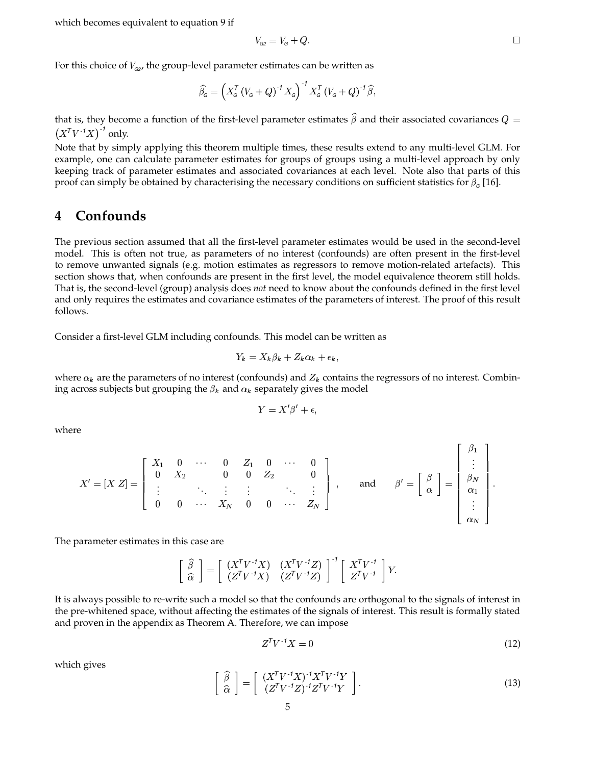which becomes equivalent to equation 9 if

$$
V_{G2} = V_G + Q.
$$

For this choice of  $V_{\text{G2}}$ , the group-level parameter estimates can be written as

$$
\widehat{\beta}_{\mathsf{G}} = \left( X_{\mathsf{G}}^{\mathsf{T}} \left( V_{\mathsf{G}} + Q \right)^{-1} X_{\mathsf{G}} \right)^{-1} X_{\mathsf{G}}^{\mathsf{T}} \left( V_{\mathsf{G}} + Q \right)^{-1} \widehat{\beta},
$$

that is, they become a function of the first-level parameter estimates  $\widehat{\beta}$  and their associated covariances  $Q=$  $(X^TV^{-1}X)^{-1}$  only.

Note that by simply applying this theorem multiple times, these results extend to any multi-level GLM. For example, one can calculate parameter estimates for groups of groups using a multi-level approach by only keeping track of parameter estimates and associated covariances at each level. Note also that parts of this proof can simply be obtained by characterising the necessary conditions on sufficient statistics for  $\beta_{\rm e}$  [16].

## **4 Confounds**

The previous section assumed that all the first-level parameter estimates would be used in the second-level model. This is often not true, as parameters of no interest (confounds) are often present in the first-level to remove unwanted signals (e.g. motion estimates as regressors to remove motion-related artefacts). This section shows that, when confounds are present in the first level, the model equivalence theorem still holds. That is, the second-level (group) analysis does *not* need to know about the confounds defined in the first level and only requires the estimates and covariance estimates of the parameters of interest. The proof of this result follows.

Consider a first-level GLM including confounds. This model can be written as

$$
Y_k = X_k \beta_k + Z_k \alpha_k + \epsilon_k,
$$

where  $\alpha_k$  are the parameters of no interest (confounds) and  $Z_k$  contains the regressors of no interest. Combining across subjects but grouping the  $\beta_k$  and  $\alpha_k$  separately gives the model

$$
Y = X'\beta' + \epsilon,
$$

where

$$
X' = [X \ Z] = \left[ \begin{array}{cccccc} X_1 & 0 & \cdots & 0 & Z_1 & 0 & \cdots & 0 \\ 0 & X_2 & & 0 & 0 & Z_2 & & 0 \\ \vdots & & \ddots & \vdots & \vdots & & \ddots & \vdots \\ 0 & 0 & \cdots & X_N & 0 & 0 & \cdots & Z_N \end{array} \right], \quad \text{and} \quad \beta' = \left[ \begin{array}{c} \beta \\ \vdots \\ \alpha \end{array} \right] = \left[ \begin{array}{c} \beta_1 \\ \vdots \\ \alpha_N \\ \vdots \\ \alpha_N \end{array} \right].
$$

The parameter estimates in this case are

$$
\left[\begin{array}{c} \widehat{\beta} \\ \widehat{\alpha} \end{array}\right] = \left[\begin{array}{cc} (X^T V^{-1} X) & (X^T V^{-1} Z) \\ (Z^T V^{-1} X) & (Z^T V^{-1} Z) \end{array}\right]^{-1} \left[\begin{array}{c} X^T V^{-1} \\ Z^T V^{-1} \end{array}\right] Y.
$$

It is always possible to re-write such a model so that the confounds are orthogonal to the signals of interest in the pre-whitened space, without affecting the estimates of the signals of interest. This result is formally stated and proven in the appendix as Theorem A. Therefore, we can impose

$$
Z^T V^{-1} X = 0 \tag{12}
$$

which gives

$$
\begin{bmatrix}\n\hat{\beta} \\
\hat{\alpha}\n\end{bmatrix} = \begin{bmatrix}\n(X^T V^{-1} X)^{-1} X^T V^{-1} Y \\
(Z^T V^{-1} Z)^{-1} Z^T V^{-1} Y\n\end{bmatrix}.
$$
\n(13)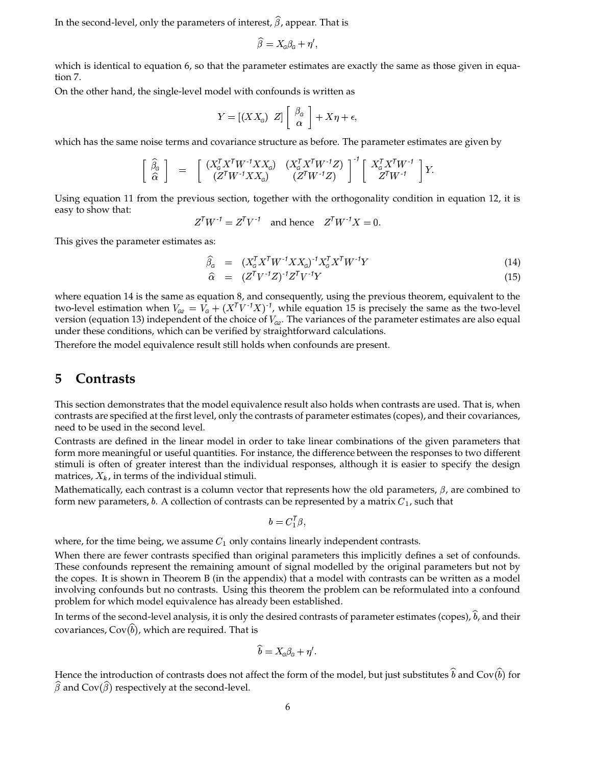In the second-level, only the parameters of interest,  $\hat{\beta}$ , appear. That is

$$
\widehat{\beta} = X_{\alpha}\beta_{\alpha} + \eta',
$$

which is identical to equation 6, so that the parameter estimates are exactly the same as those given in equation 7.

On the other hand, the single-level model with confounds is written as

$$
Y = [(XX_{\mathcal{G}}) \ Z] \left[ \begin{array}{c} \beta_{\mathcal{G}} \\ \alpha \end{array} \right] + X\eta + \epsilon,
$$

which has the same noise terms and covariance structure as before. The parameter estimates are given by

$$
\begin{bmatrix}\n\hat{\beta}_{\mathbf{G}} \\
\hat{\alpha}\n\end{bmatrix} = \begin{bmatrix}\n(X_{\mathbf{G}}^T X^T W^{-1} X X_{\mathbf{G}}) & (X_{\mathbf{G}}^T X^T W^{-1} Z) \\
(Z^T W^{-1} X X_{\mathbf{G}}) & (Z^T W^{-1} Z)\n\end{bmatrix}^{-1} \begin{bmatrix}\nX_{\mathbf{G}}^T X^T W^{-1} \\
Z^T W^{-1}\n\end{bmatrix} Y.
$$

Using equation 11 from the previous section, together with the orthogonality condition in equation 12, it is easy to show that:

$$
Z^{T}W^{-1} = Z^{T}V^{-1} \quad \text{and hence} \quad Z^{T}W^{-1}X = 0.
$$

This gives the parameter estimates as:

$$
\widehat{\beta}_{\mathcal{G}} = (X_{\mathcal{G}}^T X^T W^{-1} X X_{\mathcal{G}})^{-1} X_{\mathcal{G}}^T X^T W^{-1} Y \tag{14}
$$

the contract of the contract of the contract of

$$
\widehat{\alpha} = (Z^T V^{-1} Z)^{-1} Z^T V^{-1} Y \tag{15}
$$

where equation 14 is the same as equation 8, and consequently, using the previous theorem, equivalent to the two-level estimation when  $V_{_{G2}} = V_{_G} + (X^TV^{*f}X)^{-1}$ , while equation 15 is precisely the same as the two-level version (equation 13) independent of the choice of  $V_{\alpha 2}$ . The variances of the parameter estimates are also equal under these conditions, which can be verified by straightforward calculations.

Therefore the model equivalence result still holds when confounds are present.

## **5 Contrasts**

This section demonstrates that the model equivalence result also holds when contrasts are used. That is, when contrasts are specified at the first level, only the contrasts of parameter estimates (copes), and their covariances, need to be used in the second level.

Contrasts are defined in the linear model in order to take linear combinations of the given parameters that form more meaningful or useful quantities. For instance, the difference between the responses to two different stimuli is often of greater interest than the individual responses, although it is easier to specify the design matrices,  $X_k$ , in terms of the individual stimuli.

Mathematically, each contrast is a column vector that represents how the old parameters,  $\beta$ , are combined to form new parameters, b. A collection of contrasts can be represented by a matrix  $C_1$ , such that

$$
b=C_1^T\beta,
$$

where, for the time being, we assume  $C_1$  only contains linearly independent contrasts.

When there are fewer contrasts specified than original parameters this implicitly defines a set of confounds. These confounds represent the remaining amount of signal modelled by the original parameters but not by the copes. It is shown in Theorem B (in the appendix) that a model with contrasts can be written as a model involving confounds but no contrasts. Using this theorem the problem can be reformulated into a confound problem for which model equivalence has already been established.

In terms of the second-level analysis, it is only the desired contrasts of parameter estimates (copes),  $\widehat{b}$ , and their covariances,  $\text{Cov}(\widehat b)$ , which are required. That is

$$
\widehat{b} = X_{\scriptscriptstyle G} \beta_{\scriptscriptstyle G} + \eta'.
$$

Hence the introduction of contrasts does not affect the form of the model, but just substitutes  $\widehat b$  and Cov $(\widehat b)$  for  $\widehat{\beta}$  and Cov $(\widehat{\beta})$  respectively at the second-level.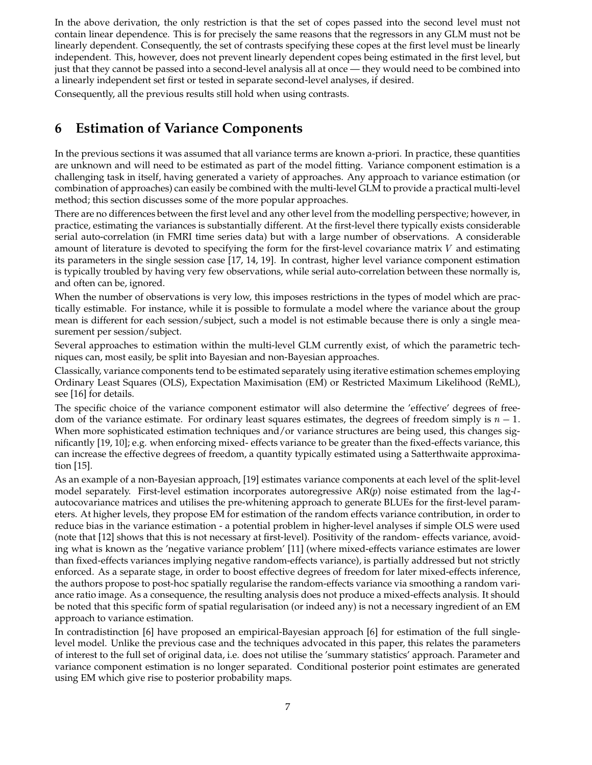In the above derivation, the only restriction is that the set of copes passed into the second level must not contain linear dependence. This is for precisely the same reasons that the regressors in any GLM must not be linearly dependent. Consequently, the set of contrasts specifying these copes at the first level must be linearly independent. This, however, does not prevent linearly dependent copes being estimated in the first level, but just that they cannot be passed into a second-level analysis all at once — they would need to be combined into a linearly independent set first or tested in separate second-level analyses, if desired.

Consequently, all the previous results still hold when using contrasts.

# **6 Estimation of Variance Components**

In the previous sections it was assumed that all variance terms are known a-priori. In practice, these quantities are unknown and will need to be estimated as part of the model fitting. Variance component estimation is a challenging task in itself, having generated a variety of approaches. Any approach to variance estimation (or combination of approaches) can easily be combined with the multi-level GLM to provide a practical multi-level method; this section discusses some of the more popular approaches.

There are no differences between the first level and any other level from the modelling perspective; however, in practice, estimating the variances is substantially different. At the first-level there typically exists considerable serial auto-correlation (in FMRI time series data) but with a large number of observations. A considerable amount of literature is devoted to specifying the form for the first-level covariance matrix  $V$  and estimating its parameters in the single session case [17, 14, 19]. In contrast, higher level variance component estimation is typically troubled by having very few observations, while serial auto-correlation between these normally is, and often can be, ignored.

When the number of observations is very low, this imposes restrictions in the types of model which are practically estimable. For instance, while it is possible to formulate a model where the variance about the group mean is different for each session/subject, such a model is not estimable because there is only a single measurement per session/subject.

Several approaches to estimation within the multi-level GLM currently exist, of which the parametric techniques can, most easily, be split into Bayesian and non-Bayesian approaches.

Classically, variance components tend to be estimated separately using iterative estimation schemes employing Ordinary Least Squares (OLS), Expectation Maximisation (EM) or Restricted Maximum Likelihood (ReML), see [16] for details.

The specific choice of the variance component estimator will also determine the 'effective' degrees of freedom of the variance estimate. For ordinary least squares estimates, the degrees of freedom simply is  $n-1$ . When more sophisticated estimation techniques and/or variance structures are being used, this changes significantly [19, 10]; e.g. when enforcing mixed- effects variance to be greater than the fixed-effects variance, this can increase the effective degrees of freedom, a quantity typically estimated using a Satterthwaite approximation [15].

As an example of a non-Bayesian approach, [19] estimates variance components at each level of the split-level model separately. First-level estimation incorporates autoregressive  $AR(p)$  noise estimated from the lag-lautocovariance matrices and utilises the pre-whitening approach to generate BLUEs for the first-level parameters. At higher levels, they propose EM for estimation of the random effects variance contribution, in order to reduce bias in the variance estimation - a potential problem in higher-level analyses if simple OLS were used (note that [12] shows that this is not necessary at first-level). Positivity of the random- effects variance, avoiding what is known as the 'negative variance problem' [11] (where mixed-effects variance estimates are lower than fixed-effects variances implying negative random-effects variance), is partially addressed but not strictly enforced. As a separate stage, in order to boost effective degrees of freedom for later mixed-effects inference, the authors propose to post-hoc spatially regularise the random-effects variance via smoothing a random variance ratio image. As a consequence, the resulting analysis does not produce a mixed-effects analysis. It should be noted that this specific form of spatial regularisation (or indeed any) is not a necessary ingredient of an EM approach to variance estimation.

In contradistinction [6] have proposed an empirical-Bayesian approach [6] for estimation of the full singlelevel model. Unlike the previous case and the techniques advocated in this paper, this relates the parameters of interest to the full set of original data, i.e. does not utilise the 'summary statistics' approach. Parameter and variance component estimation is no longer separated. Conditional posterior point estimates are generated using EM which give rise to posterior probability maps.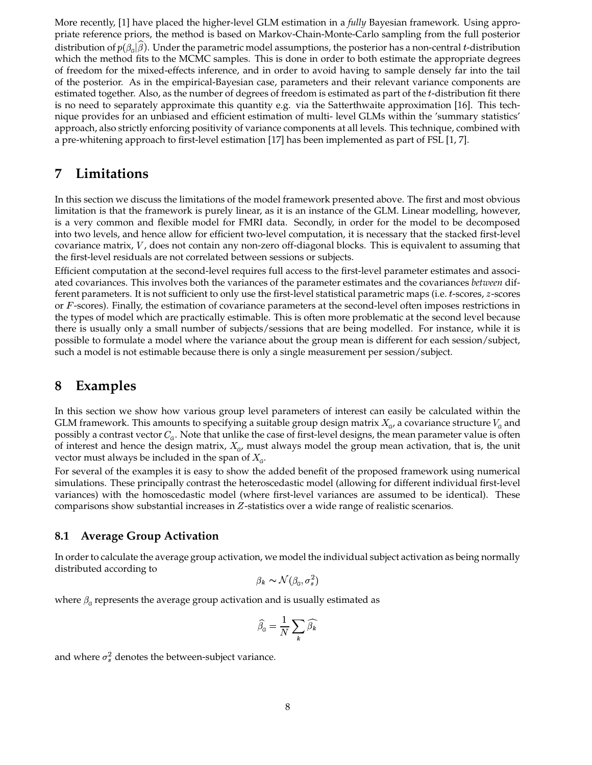More recently, [1] have placed the higher-level GLM estimation in a *fully* Bayesian framework. Using appropriate reference priors, the method is based on Markov-Chain-Monte-Carlo sampling from the full posterior distribution of  $p(\beta_\text{c}|\widehat{\beta}).$  Under the parametric model assumptions, the posterior has a non-central  $t$ -distribution which the method fits to the MCMC samples. This is done in order to both estimate the appropriate degrees of freedom for the mixed-effects inference, and in order to avoid having to sample densely far into the tail of the posterior. As in the empirical-Bayesian case, parameters and their relevant variance components are estimated together. Also, as the number of degrees of freedom is estimated as part of the t-distribution fit there is no need to separately approximate this quantity e.g. via the Satterthwaite approximation [16]. This technique provides for an unbiased and efficient estimation of multi- level GLMs within the 'summary statistics' approach, also strictly enforcing positivity of variance components at all levels. This technique, combined with a pre-whitening approach to first-level estimation [17] has been implemented as part of FSL [1, 7].

# **7 Limitations**

In this section we discuss the limitations of the model framework presented above. The first and most obvious limitation is that the framework is purely linear, as it is an instance of the GLM. Linear modelling, however, is a very common and flexible model for FMRI data. Secondly, in order for the model to be decomposed into two levels, and hence allow for efficient two-level computation, it is necessary that the stacked first-level covariance matrix,  $V$ , does not contain any non-zero off-diagonal blocks. This is equivalent to assuming that the first-level residuals are not correlated between sessions or subjects.

Efficient computation at the second-level requires full access to the first-level parameter estimates and associated covariances. This involves both the variances of the parameter estimates and the covariances *between* different parameters. It is not sufficient to only use the first-level statistical parametric maps (i.e. *t*-scores, *z*-scores or  $F$ -scores). Finally, the estimation of covariance parameters at the second-level often imposes restrictions in the types of model which are practically estimable. This is often more problematic at the second level because there is usually only a small number of subjects/sessions that are being modelled. For instance, while it is possible to formulate a model where the variance about the group mean is different for each session/subject, such a model is not estimable because there is only a single measurement per session/subject.

# **8 Examples**

In this section we show how various group level parameters of interest can easily be calculated within the GLM framework. This amounts to specifying a suitable group design matrix  $X_{\alpha}$ , a covariance structure  $V_{\alpha}$  and possibly a contrast vector  $C_{\!G}$ . Note that unlike the case of first-level designs, the mean parameter value is often of interest and hence the design matrix,  $X_{\alpha}$ , must always model the group mean activation, that is, the unit vector must always be included in the span of  $X_{\!{\mathsf o}}.$ 

For several of the examples it is easy to show the added benefit of the proposed framework using numerical simulations. These principally contrast the heteroscedastic model (allowing for different individual first-level variances) with the homoscedastic model (where first-level variances are assumed to be identical). These comparisons show substantial increases in  $Z$ -statistics over a wide range of realistic scenarios.

## **8.1 Average Group Activation**

In order to calculate the average group activation, we model the individual subject activation as being normally distributed according to

$$
\beta_k \thicksim \mathcal{N}(\beta_{\scriptscriptstyle G}, \sigma_s^2)
$$

where  $\beta_{\rm c}$  represents the average group activation and is usually estimated as

$$
\widehat{\beta}_{\scriptscriptstyle \mathrm{G}} = \frac{1}{N} \sum_{\pmb{k}} \widehat{\beta}_{\pmb{k}}
$$

and where  $\sigma_s^2$  denotes the between-subject variance.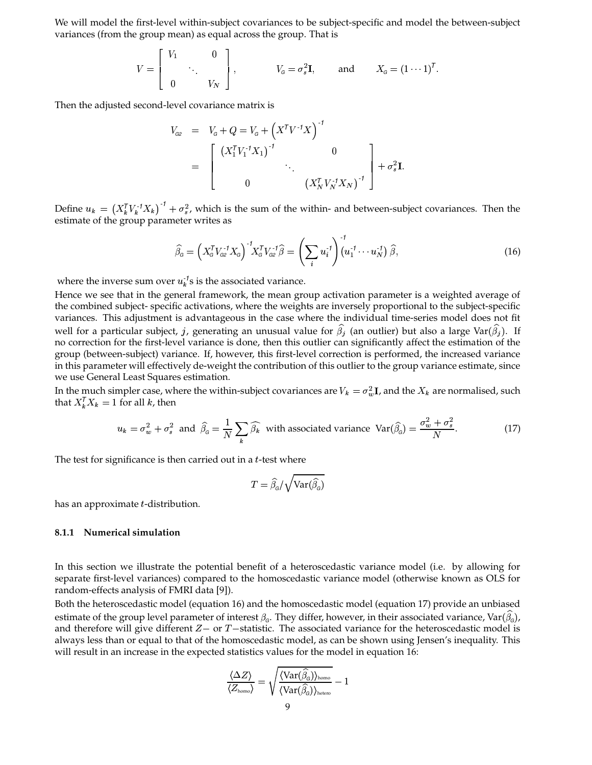We will model the first-level within-subject covariances to be subject-specific and model the between-subject variances (from the group mean) as equal across the group. That is

$$
V = \begin{bmatrix} V_1 & 0 \\ & \ddots & \\ 0 & V_N \end{bmatrix}, \qquad V_\mathsf{G} = \sigma_s^2 \mathbf{I}, \qquad \text{and} \qquad X_\mathsf{G} = (1 \cdots 1)^T.
$$

Then the adjusted second-level covariance matrix is

$$
V_{G2} = V_G + Q = V_G + (X^T V^{-1} X)^{-1}
$$
  
= 
$$
\begin{bmatrix} (X_1^T V_1^{-1} X_1)^{-1} & 0 \\ 0 & \cdot (X_N^T V_N^{-1} X_N)^{-1} \end{bmatrix} + \sigma_s^2 \mathbf{I}.
$$

Define  $u_k = (X_k^T V_k^{-1} X_k)^{-1} + \sigma_s^2$ , which is the sum of the within- and between-subject covariances. Then the estimate of the group parameter writes as

$$
\widehat{\beta}_{\mathsf{G}} = \left(X_{\mathsf{G}}^{\mathsf{T}} V_{\mathsf{G}2}^{-1} X_{\mathsf{G}}\right)^{-1} X_{\mathsf{G}}^{\mathsf{T}} V_{\mathsf{G}2}^{-1} \widehat{\beta} = \left(\sum_{i} u_{i}^{-1}\right)^{-1} \left(u_{1}^{-1} \cdots u_{N}^{-1}\right) \widehat{\beta},\tag{16}
$$

where the inverse sum over  $u_k^{-1}$ s is the associated variance.

Hence we see that in the general framework, the mean group activation parameter is a weighted average of the combined subject- specific activations, where the weights are inversely proportional to the subject-specific variances. This adjustment is advantageous in the case where the individual time-series model does not fit well for a particular subject, j, generating an unusual value for  $\widehat\beta_i$  (an outlier) but also a large Var( $\widehat\beta_i$ ). If no correction for the first-level variance is done, then this outlier can significantly affect the estimation of the group (between-subject) variance. If, however, this first-level correction is performed, the increased variance in this parameter will effectively de-weight the contribution of this outlier to the group variance estimate, since we use General Least Squares estimation.

In the much simpler case, where the within-subject covariances are  $V_k=\sigma_w^2 {\bf I}$ , and the  $X_k$  are normalised, such that  $X_k^T X_k = 1$  for all k, then

$$
u_k = \sigma_w^2 + \sigma_s^2 \text{ and } \hat{\beta}_s = \frac{1}{N} \sum_k \widehat{\beta}_k \text{ with associated variance } \text{Var}(\widehat{\beta}_s) = \frac{\sigma_w^2 + \sigma_s^2}{N}. \tag{17}
$$

The test for significance is then carried out in a  $t$ -test where

$$
T = \widehat{\beta}_{\mathrm{G}}/\sqrt{\mathrm{Var}(\widehat{\beta}_{\mathrm{G}})}
$$

has an approximate  $t$ -distribution.

#### **8.1.1 Numerical simulation**

In this section we illustrate the potential benefit of a heteroscedastic variance model (i.e. by allowing for separate first-level variances) compared to the homoscedastic variance model (otherwise known as OLS for random-effects analysis of FMRI data [9]).

Both the heteroscedastic model (equation 16) and the homoscedastic model (equation 17) provide an unbiased estimate of the group level parameter of interest  $\beta_c$ . They differ, however, in their associated variance, Var $(\widehat{\beta_c})$ , and therefore will give different  $Z$  – or  $T$  –statistic. The associated variance for the heteroscedastic model is always less than or equal to that of the homoscedastic model, as can be shown using Jensen's inequality. This will result in an increase in the expected statistics values for the model in equation 16:

$$
\frac{\langle \Delta Z \rangle}{\langle Z_{\text{homo}}\rangle} = \sqrt{\frac{\langle \text{Var}(\widehat{\beta}_{\text{\tiny G}}) \rangle_{\text{homo}}}{\langle \text{Var}(\widehat{\beta}_{\text{\tiny G}}) \rangle_{\text{hetero}}}} - 1
$$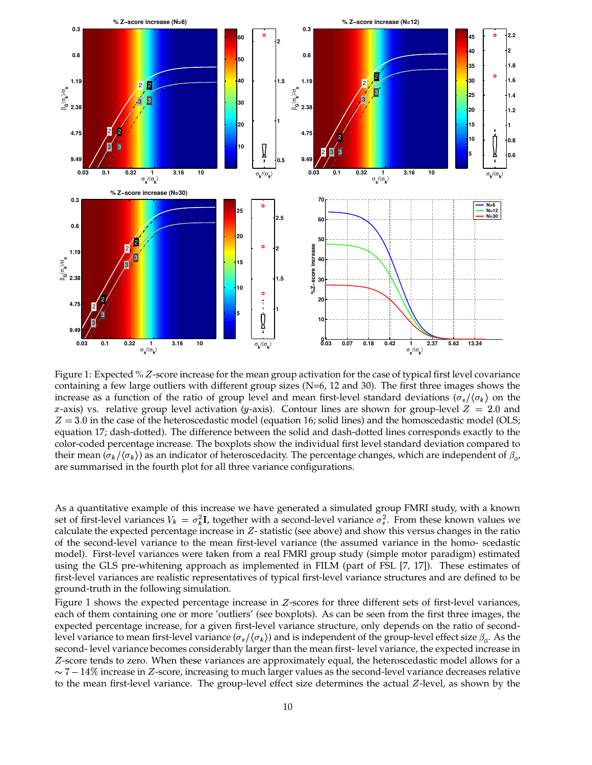

Figure 1: Expected % Z-score increase for the mean group activation for the case of typical first level covariance containing a few large outliers with different group sizes ( $N=6$ , 12 and 30). The first three images shows the increase as a function of the ratio of group level and mean first-level standard deviations  $(\sigma_s/\langle \sigma_k \rangle)$  on the x-axis) vs. relative group level activation (y-axis). Contour lines are shown for group-level  $Z \, = \, 2.0$  and  $Z = 3.0$  in the case of the heteroscedastic model (equation 16; solid lines) and the homoscedastic model (OLS; equation 17; dash-dotted). The difference between the solid and dash-dotted lines corresponds exactly to the color-coded percentage increase. The boxplots show the individual first level standard deviation compared to their mean  $(\sigma_k/\langle\sigma_k\rangle)$  as an indicator of heteroscedacity. The percentage changes, which are independent of  $\beta_{_{G}}$ , are summarised in the fourth plot for all three variance configurations.

As a quantitative example of this increase we have generated a simulated group FMRI study, with a known set of first-level variances  $V_k = \sigma_k^2 \mathbf{I}$ , together with a second-level variance  $\sigma_s^2$ . From these known values we calculate the expected percentage increase in  $Z$ -statistic (see above) and show this versus changes in the ratio of the second-level variance to the mean first-level variance (the assumed variance in the homo- scedastic model). First-level variances were taken from a real FMRI group study (simple motor paradigm) estimated using the GLS pre-whitening approach as implemented in FILM (part of FSL [7, 17]). These estimates of first-level variances are realistic representatives of typical first-level variance structures and are defined to be ground-truth in the following simulation.

Figure 1 shows the expected percentage increase in  $Z$ -scores for three different sets of first-level variances, each of them containing one or more 'outliers' (see boxplots). As can be seen from the first three images, the expected percentage increase, for a given first-level variance structure, only depends on the ratio of secondlevel variance to mean first-level variance  $(\sigma_s/\langle\sigma_k\rangle)$  and is independent of the group-level effect size  $\beta_c$ . As the second- level variance becomes considerably larger than the mean first- level variance, the expected increase in Z-score tends to zero. When these variances are approximately equal, the heteroscedastic model allows for a  $\sim 7-14\%$  increase in  $Z$ -score, increasing to much larger values as the second-level variance decreases relative to the mean first-level variance. The group-level effect size determines the actual  $Z$ -level, as shown by the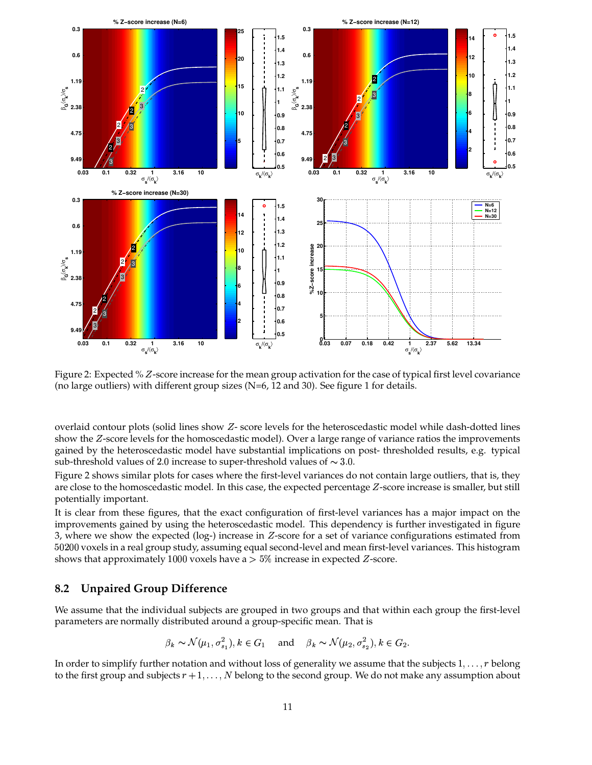

Figure 2: Expected % Z-score increase for the mean group activation for the case of typical first level covariance (no large outliers) with different group sizes  $(N=6, 12 \text{ and } 30)$ . See figure 1 for details.

overlaid contour plots (solid lines show  $Z$ - score levels for the heteroscedastic model while dash-dotted lines show the Z-score levels for the homoscedastic model). Over a large range of variance ratios the improvements gained by the heteroscedastic model have substantial implications on post- thresholded results, e.g. typical sub-threshold values of 2.0 increase to super-threshold values of  $\sim$  3.0.

Figure 2 shows similar plots for cases where the first-level variances do not contain large outliers, that is, they are close to the homoscedastic model. In this case, the expected percentage  $Z$ -score increase is smaller, but still potentially important.

It is clear from these figures, that the exact configuration of first-level variances has a major impact on the improvements gained by using the heteroscedastic model. This dependency is further investigated in figure 3, where we show the expected (log-) increase in  $Z$ -score for a set of variance configurations estimated from  $50200$  voxels in a real group study, assuming equal second-level and mean first-level variances. This histogram shows that approximately 1000 voxels have a  $>5\%$  increase in expected  $Z$ -score.

### **8.2 Unpaired Group Difference**

We assume that the individual subjects are grouped in two groups and that within each group the first-level parameters are normally distributed around a group-specific mean. That is

$$
\beta_k \sim \mathcal{N}(\mu_1, \sigma_{s_1}^2), k \in G_1
$$
 and  $\beta_k \sim \mathcal{N}(\mu_2, \sigma_{s_2}^2), k \in G_2$ .

In order to simplify further notation and without loss of generality we assume that the subjects  $1, \ldots, r$  belong to the first group and subjects  $r + 1, \ldots, N$  belong to the second group. We do not make any assumption about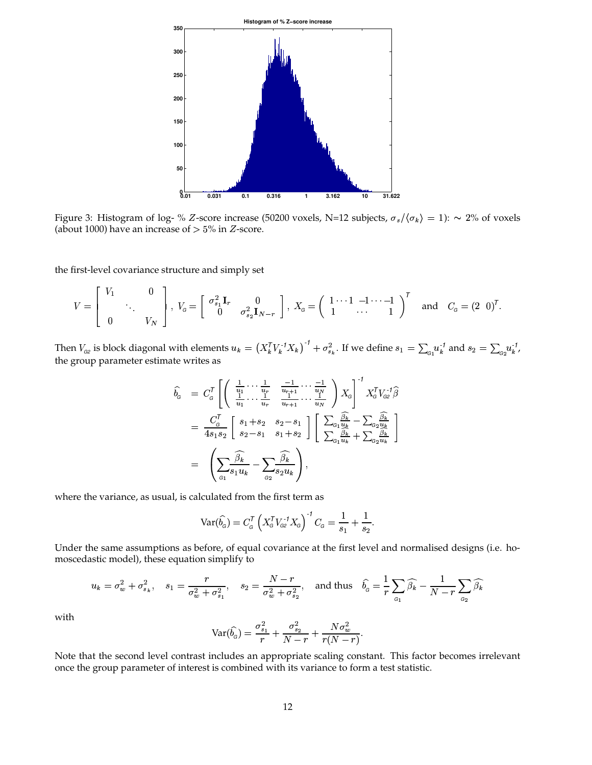

Figure 3: Histogram of log- % Z-score increase (50200 voxels, N=12 subjects,  $\sigma_s/\langle\sigma_k\rangle = 1$ ):  $\sim 2\%$  of voxels (about 1000) have an increase of  $> 5\%$  in  $Z$ -score.

the first-level covariance structure and simply set

<sup>243</sup>

$$
V = \begin{bmatrix} V_1 & 0 \\ & \ddots & \\ 0 & & V_N \end{bmatrix}, \ V_{\mathcal{G}} = \begin{bmatrix} \sigma_{s_1}^2 \mathbf{I}_r & 0 \\ 0 & \sigma_{s_2}^2 \mathbf{I}_{N-r} \end{bmatrix}, \ X_{\mathcal{G}} = \begin{pmatrix} 1 & 1 & -1 & \cdots & -1 \\ 1 & \cdots & 1 & 1 \end{pmatrix}^T \quad \text{and} \quad C_{\mathcal{G}} = (2 \quad 0)^T.
$$

Then  $V_{\text{G2}}$  is block diagonal with elements  $u_k = (X_k^T V_k^{-1} X_k)^{-1} + \sigma_{s_k}^2$ . If we define  $s_1 = \sum_{\text{G1}} u_k^{-1}$  and  $s_2 = \sum_{\text{G2}} u_k^{-1}$ , the group parameter estimate writes as

$$
\hat{b}_{\mathbf{G}} = C_{\mathbf{G}}^{T} \left[ \left( \frac{\frac{1}{u_{1}} \cdots \frac{1}{u_{r}}}{\frac{1}{u_{1}} \cdots \frac{1}{u_{r}}}, \frac{-1}{\frac{1}{u_{r+1}} \cdots \frac{1}{u_{N}}}, \frac{1}{u_{N}} \right) X_{\mathbf{G}} \right]^{-1} X_{\mathbf{G}}^{T} V_{\mathbf{G}2}^{-1} \hat{\beta}
$$
\n
$$
= \frac{C_{\mathbf{G}}^{T}}{4s_{1}s_{2}} \left[ \begin{array}{c} s_{1} + s_{2} & s_{2} - s_{1} \\ s_{2} - s_{1} & s_{1} + s_{2} \end{array} \right] \left[ \begin{array}{c} \sum_{\mathbf{G}_{1}} \frac{\hat{\beta}_{k}}{u_{k}} - \sum_{\mathbf{G}_{2}} \frac{\hat{\beta}_{k}}{u_{k}} \\ \sum_{\mathbf{G}_{1}} \frac{\hat{\beta}_{k}}{u_{k}} + \sum_{\mathbf{G}_{2}} \frac{\hat{\beta}_{k}}{u_{k}} \end{array} \right]
$$
\n
$$
= \left( \sum_{\mathbf{G}_{1}} \frac{\hat{\beta}_{k}}{s_{1}u_{k}} - \sum_{\mathbf{G}_{2}} \frac{\hat{\beta}_{k}}{s_{2}u_{k}} \right),
$$

where the variance, as usual, is calculated from the first term as

$$
Var(\widehat{b}_{\widehat{\sigma}}) = C_{\widehat{\sigma}}^{\mathcal{T}} \left( X_{\widehat{\sigma}}^{\mathcal{T}} V_{\alpha 2}^{\mathcal{T}} X_{\widehat{\sigma}} \right)^{\mathcal{T}} C_{\widehat{\sigma}} = \frac{1}{s_1} + \frac{1}{s_2}.
$$

Under the same assumptions as before, of equal covariance at the first level and normalised designs (i.e. homoscedastic model), these equation simplify to

$$
u_k=\sigma_w^2+\sigma_{s_k}^2,\quad s_1=\frac{r}{\sigma_w^2+\sigma_{s_1}^2},\quad s_2=\frac{N-r}{\sigma_w^2+\sigma_{s_2}^2},\quad\text{and thus}\quad \widehat{b_{_{\mathbf{G}}}}=\frac{1}{r}\sum_{_{\mathbf{G1}}}\widehat{\beta_k}-\frac{1}{N-r}\sum_{_{\mathbf{G2}}}\widehat{\beta_k}
$$

with

$$
\text{Var}(\widehat{b_\text{G}}) = \frac{\sigma_{s_1}^2}{r} + \frac{\sigma_{s_2}^2}{N-r} + \frac{N\sigma_w^2}{r(N-r)}.
$$

Note that the second level contrast includes an appropriate scaling constant. This factor becomes irrelevant once the group parameter of interest is combined with its variance to form a test statistic.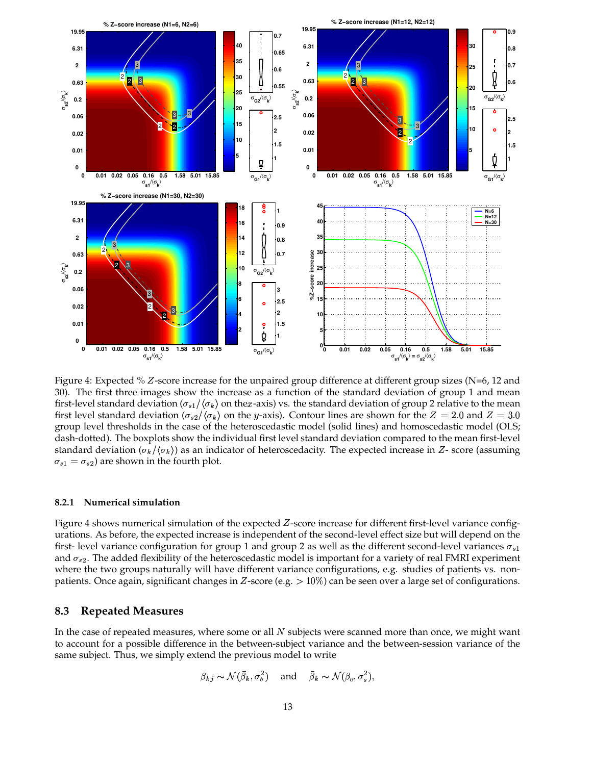

Figure 4: Expected % Z-score increase for the unpaired group difference at different group sizes (N=6, 12 and 30). The first three images show the increase as a function of the standard deviation of group 1 and mean first-level standard deviation ( $\sigma_{s1}/\langle\sigma_k\rangle$  on the $x$ -axis) vs. the standard deviation of group 2 relative to the mean first level standard deviation ( $\sigma_{s2}/\langle \sigma_k \rangle$  on the *y*-axis). Contour lines are shown for the  $Z = 2.0$  and  $Z = 3.0$ group level thresholds in the case of the heteroscedastic model (solid lines) and homoscedastic model (OLS; dash-dotted). The boxplots show the individual first level standard deviation compared to the mean first-level standard deviation ( $\sigma_k/\langle \sigma_k \rangle$ ) as an indicator of heteroscedacity. The expected increase in Z-score (assuming  $\sigma_{s1} = \sigma_{s2}$ ) are shown in the fourth plot.

#### **8.2.1 Numerical simulation**

Figure 4 shows numerical simulation of the expected  $Z$ -score increase for different first-level variance configurations. As before, the expected increase is independent of the second-level effect size but will depend on the first- level variance configuration for group 1 and group 2 as well as the different second-level variances  $\sigma_{s1}$ and  $\sigma_{s2}$ . The added flexibility of the heteroscedastic model is important for a variety of real FMRI experiment where the two groups naturally will have different variance configurations, e.g. studies of patients vs. nonpatients. Once again, significant changes in Z-score (e.g.  $> 10\%$ ) can be seen over a large set of configurations.

#### **8.3 Repeated Measures**

In the case of repeated measures, where some or all  $N$  subjects were scanned more than once, we might want to account for a possible difference in the between-subject variance and the between-session variance of the same subject. Thus, we simply extend the previous model to write

$$
\beta_{kj} \sim \mathcal{N}(\bar{\beta}_k, \sigma_b^2)
$$
 and  $\bar{\beta}_k \sim \mathcal{N}(\beta_{\rm G}, \sigma_s^2)$ ,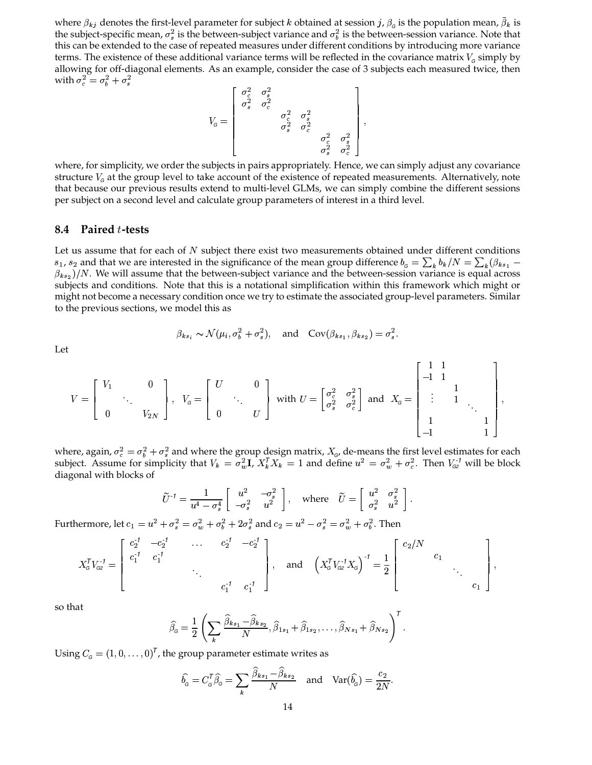where  $\beta_{kj}$  denotes the first-level parameter for subject  $k$  obtained at session  $j$ ,  $\beta_{_G}$  is the population mean,  $\beta_k$  is the subject-specific mean,  $\sigma_s^2$  is the between-subject variance and  $\sigma_b^2$  is the between-session variance. Note that this can be extended to the case of repeated measures under different conditions by introducing more variance terms. The existence of these additional variance terms will be reflected in the covariance matrix  $V_c$  simply by allowing for off-diagonal elements. As an example, consider the case of 3 subjects each measured twice, then with  $\sigma_c^2 = \sigma_b^2 + \sigma_s^2$ 

$$
V_{\text{G}} = \left[ \begin{array}{ccc} \sigma_c^2 & \sigma_s^2 & & & \\ \sigma_s^2 & \sigma_c^2 & & & \\ & & \sigma_c^2 & \sigma_s^2 & \\ & & & \sigma_s^2 & \sigma_c^2 & \\ & & & & \sigma_c^2 & \sigma_s^2 \\ & & & & & \sigma_s^2 & \sigma_c^2 \\ & & & & & \sigma_s^2 & \sigma_c^2 \end{array} \right],
$$

where, for simplicity, we order the subjects in pairs appropriately. Hence, we can simply adjust any covariance structure  $V<sub>g</sub>$  at the group level to take account of the existence of repeated measurements. Alternatively, note that because our previous results extend to multi-level GLMs, we can simply combine the different sessions per subject on a second level and calculate group parameters of interest in a third level.

#### **8.4 Paired** <sup>É</sup>**-tests**

Let us assume that for each of  $N$  subject there exist two measurements obtained under different conditions  $s_1$ ,  $s_2$  and that we are interested in the significance of the mean group difference  $b_g = \sum_k b_k / N = \sum_k (\beta_{ks_1} \beta_{ks_2})/N$ . We will assume that the between-subject variance and the between-session variance is equal across subjects and conditions. Note that this is a notational simplification within this framework which might or might not become a necessary condition once we try to estimate the associated group-level parameters. Similar to the previous sections, we model this as

$$
\beta_{ks_i} \sim \mathcal{N}(\mu_i, \sigma_b^2 + \sigma_s^2), \quad \text{and} \quad \text{Cov}(\beta_{ks_1}, \beta_{ks_2}) = \sigma_s^2.
$$

 $-1$ , 1

Let

$$
V = \begin{bmatrix} V_1 & & 0 \\ & \ddots & \\ 0 & & V_{2N} \end{bmatrix}, \ \ V_{\scriptscriptstyle{G}} = \begin{bmatrix} U & & 0 \\ & \ddots & \\ 0 & & U \end{bmatrix} \ \text{with} \ U = \begin{bmatrix} \sigma_{\scriptscriptstyle{C}}^2 & \sigma_{\scriptscriptstyle{S}}^2 \\ \sigma_{\scriptscriptstyle{S}}^2 & \sigma_{\scriptscriptstyle{C}}^2 \end{bmatrix} \ \text{and} \ \ X_{\scriptscriptstyle{G}} = \begin{bmatrix} 1 & 1 & & & \\ -1 & 1 & & & \\ & \vdots & 1 & & \\ & & 1 & & \\ & & & 1 & \\ -1 & & & 1 & \end{bmatrix},
$$

where, again,  $\sigma_c^2 = \sigma_b^2 + \sigma_s^2$  and where the group design matrix,  $X_{\sigma}$ , de-means the first level estimates for each subject. Assume for simplicity that  $V_k = \sigma_w^2 \mathbf{I}$ ,  $X_k^T X_k = 1$  and define  $u^2 = \sigma_w^2 + \sigma_c^2$ . Then  $V_{GZ}^{-1}$  will be block diagonal with blocks of

$$
\widetilde{U}^{\text{-}1} = \frac{1}{u^4 - \sigma_s^4} \left[ \begin{array}{cc} u^2 & -\sigma_s^2 \\ -\sigma_s^2 & u^2 \end{array} \right], \quad \text{where} \quad \widetilde{U} = \left[ \begin{array}{cc} u^2 & \sigma_s^2 \\ \sigma_s^2 & u^2 \end{array} \right].
$$

Furthermore, let  $c_1 = u^2 + \sigma_s^2 = \sigma_w^2 + \sigma_b^2 + 2\sigma_s^2$  and  $c_2 = u^2 - \sigma_s^2 = \sigma_w^2 + \sigma_b^2$ . Then

$$
X_{\mathcal{G}}^{\mathsf{T}}V_{\mathcal{G}2}^{-1} = \begin{bmatrix} c_2^{-1} & -c_2^{-1} & \dots & c_2^{-1} & -c_2^{-1} \\ c_1^{-1} & c_1^{-1} & & \\ & & \ddots & \\ & & & c_1^{-1} & c_1^{-1} \end{bmatrix}, \quad \text{and} \quad \left(X_{\mathcal{G}}^{\mathsf{T}}V_{\mathcal{G}2}^{-1}X_{\mathcal{G}}\right)^{-1} = \frac{1}{2} \begin{bmatrix} c_2/N & & & \\ & c_1 & c_1 & \\ & & \ddots & \\ & & & c_1 \end{bmatrix},
$$

so that

$$
\widehat{\beta}_{\mathcal{G}} = \frac{1}{2} \left( \sum_{k} \frac{\widehat{\beta}_{ks_1} - \widehat{\beta}_{ks_2}}{N}, \widehat{\beta}_{1s_1} + \widehat{\beta}_{1s_2}, \dots, \widehat{\beta}_{Ns_1} + \widehat{\beta}_{Ns_2} \right)^T.
$$

Using  $C_{\mathfrak{g}} = (1, 0, \ldots, 0)^{\mathsf{T}}$ , the group parameter estimate writes as

$$
\widehat{b}_{\scriptscriptstyle G} = C_{\scriptscriptstyle G}^{\mathsf{T}} \widehat{\beta}_{\scriptscriptstyle G} = \sum_{k} \frac{\widehat{\beta}_{k s_1} - \widehat{\beta}_{k s_2}}{N} \quad \text{and} \quad \text{Var}(\widehat{b}_{\scriptscriptstyle G}) = \frac{c_2}{2N}.
$$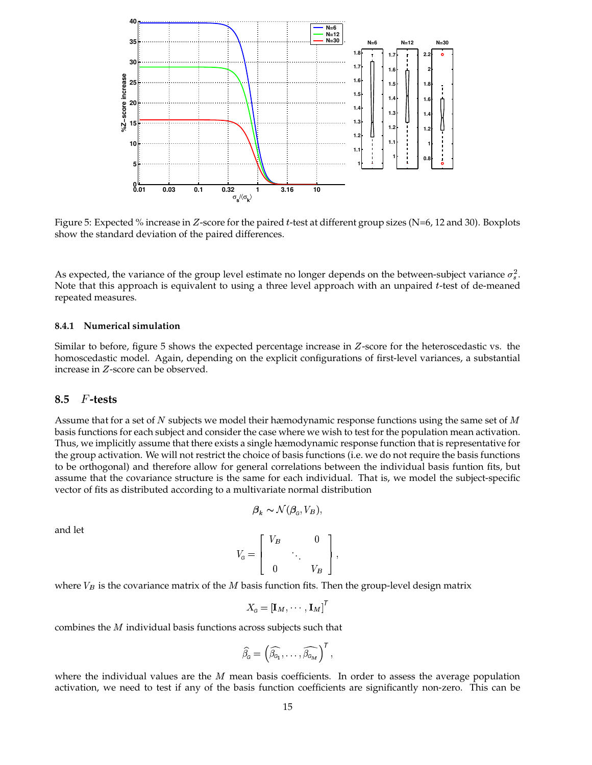

Figure 5: Expected % increase in *Z*-score for the paired *t*-test at different group sizes (N=6, 12 and 30). Boxplots show the standard deviation of the paired differences.

As expected, the variance of the group level estimate no longer depends on the between-subject variance  $\sigma_s^2$ . Note that this approach is equivalent to using a three level approach with an unpaired  $t$ -test of de-meaned repeated measures.

#### **8.4.1 Numerical simulation**

Similar to before, figure 5 shows the expected percentage increase in  $Z$ -score for the heteroscedastic vs. the homoscedastic model. Again, depending on the explicit configurations of first-level variances, a substantial increase in Z-score can be observed.

### **8.5** F-tests

Assume that for a set of  $N$  subjects we model their hæmodynamic response functions using the same set of  $M$ basis functions for each subject and consider the case where we wish to test for the population mean activation. Thus, we implicitly assume that there exists a single hæmodynamic response function that is representative for the group activation. We will not restrict the choice of basis functions (i.e. we do not require the basis functions to be orthogonal) and therefore allow for general correlations between the individual basis funtion fits, but assume that the covariance structure is the same for each individual. That is, we model the subject-specific vector of fits as distributed according to a multivariate normal distribution

$$
\mathcal{B}_k \sim \mathcal{N}(\mathcal{B}_c, V_B),
$$

and let

$$
V_{\scriptscriptstyle G}=\left[\begin{array}{ccc} V_B & & 0 \\ & \ddots & \\ 0 & & V_B \end{array}\right],
$$

where  $V_B$  is the covariance matrix of the  $M$  basis function fits. Then the group-level design matrix

$$
X_{{\scriptscriptstyle{G}}}=\left[{\bf I}_M,\cdots,{\bf I}_M\right]^{\!\mathsf{T}}
$$

combines the  $M$  individual basis functions across subjects such that

$$
\widehat{\beta}_{\scriptscriptstyle \mathsf{G}}=\left(\widehat{\beta_{\scriptscriptstyle \mathsf{G}_1}},\ldots,\widehat{\beta_{\scriptscriptstyle \mathsf{G}_M}}\right)^{\mathsf{T}},
$$

where the individual values are the  $M$  mean basis coefficients. In order to assess the average population activation, we need to test if any of the basis function coefficients are significantly non-zero. This can be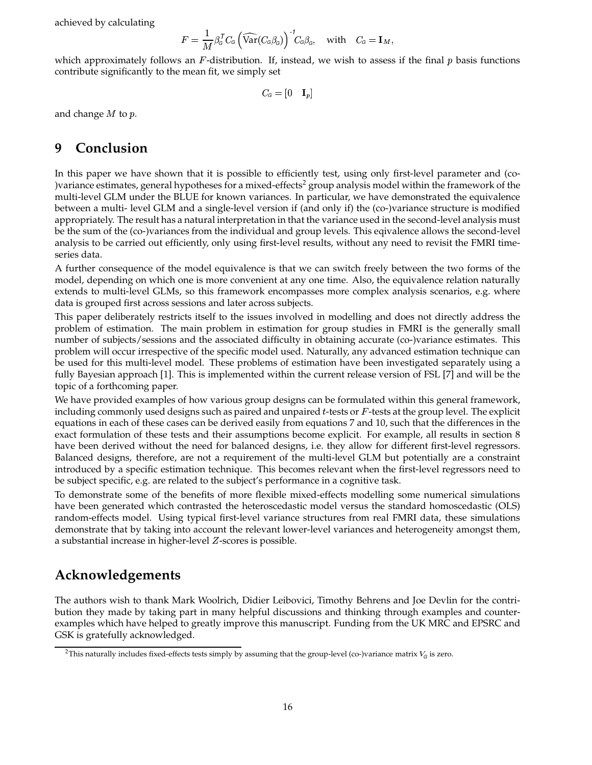achieved by calculating

$$
F = \frac{1}{M} \beta_{\scriptscriptstyle G}^{\sf \scriptscriptstyle T} C_{\scriptscriptstyle G} \left( \widehat{\text{Var}}(C_{\scriptscriptstyle G} \beta_{\scriptscriptstyle G}) \right)^{-1} \!\! C_{\scriptscriptstyle G} \beta_{\scriptscriptstyle G}, \quad \text{with} \quad C_{\scriptscriptstyle G} = {\bf I}_M,
$$

which approximately follows an  $F$ -distribution. If, instead, we wish to assess if the final  $p$  basis functions contribute significantly to the mean fit, we simply set

$$
C_{\scriptscriptstyle \!G} = \begin{bmatrix} 0 & {\bf I}_p \end{bmatrix}
$$

and change  $M$  to  $p$ .

# **9 Conclusion**

In this paper we have shown that it is possible to efficiently test, using only first-level parameter and (co- )variance estimates, general hypotheses for a mixed-effects<sup>2</sup> group analysis model within the framework of the multi-level GLM under the BLUE for known variances. In particular, we have demonstrated the equivalence between a multi- level GLM and a single-level version if (and only if) the (co-)variance structure is modified appropriately. The result has a natural interpretation in that the variance used in the second-level analysis must be the sum of the (co-)variances from the individual and group levels. This eqivalence allows the second-level analysis to be carried out efficiently, only using first-level results, without any need to revisit the FMRI timeseries data.

A further consequence of the model equivalence is that we can switch freely between the two forms of the model, depending on which one is more convenient at any one time. Also, the equivalence relation naturally extends to multi-level GLMs, so this framework encompasses more complex analysis scenarios, e.g. where data is grouped first across sessions and later across subjects.

This paper deliberately restricts itself to the issues involved in modelling and does not directly address the problem of estimation. The main problem in estimation for group studies in FMRI is the generally small number of subjects/sessions and the associated difficulty in obtaining accurate (co-)variance estimates. This problem will occur irrespective of the specific model used. Naturally, any advanced estimation technique can be used for this multi-level model. These problems of estimation have been investigated separately using a fully Bayesian approach [1]. This is implemented within the current release version of FSL [7] and will be the topic of a forthcoming paper.

We have provided examples of how various group designs can be formulated within this general framework, including commonly used designs such as paired and unpaired  $t$ -tests or  $F$ -tests at the group level. The explicit equations in each of these cases can be derived easily from equations 7 and 10, such that the differences in the exact formulation of these tests and their assumptions become explicit. For example, all results in section 8 have been derived without the need for balanced designs, i.e. they allow for different first-level regressors. Balanced designs, therefore, are not a requirement of the multi-level GLM but potentially are a constraint introduced by a specific estimation technique. This becomes relevant when the first-level regressors need to be subject specific, e.g. are related to the subject's performance in a cognitive task.

To demonstrate some of the benefits of more flexible mixed-effects modelling some numerical simulations have been generated which contrasted the heteroscedastic model versus the standard homoscedastic (OLS) random-effects model. Using typical first-level variance structures from real FMRI data, these simulations demonstrate that by taking into account the relevant lower-level variances and heterogeneity amongst them, a substantial increase in higher-level  $Z$ -scores is possible.

# **Acknowledgements**

The authors wish to thank Mark Woolrich, Didier Leibovici, Timothy Behrens and Joe Devlin for the contribution they made by taking part in many helpful discussions and thinking through examples and counterexamples which have helped to greatly improve this manuscript. Funding from the UK MRC and EPSRC and GSK is gratefully acknowledged.

<sup>&</sup>lt;sup>2</sup>This naturally includes fixed-effects tests simply by assuming that the group-level (co-)variance matrix  $V_G$  is zero.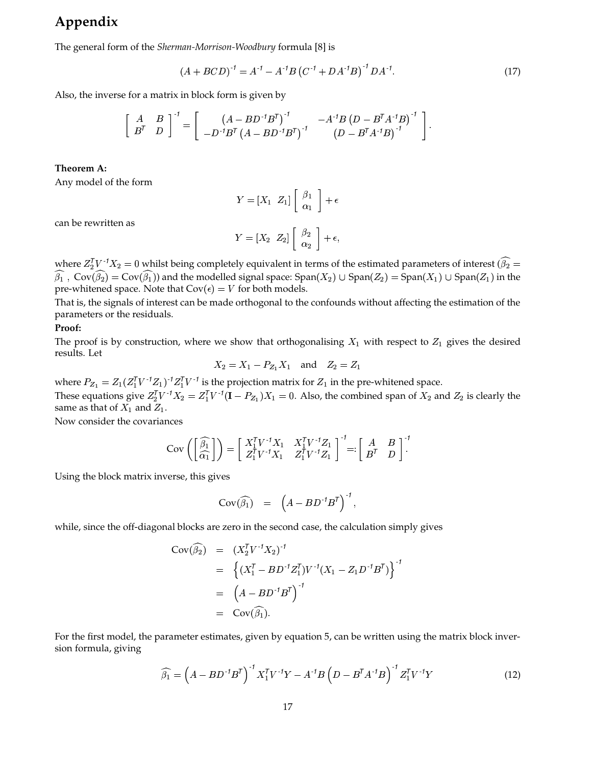# **Appendix**

The general form of the *Sherman-Morrison-Woodbury* formula [8] is

$$
(A + BCD)^{-1} = A^{-1} - A^{-1}B (C^{-1} + DA^{-1}B)^{-1}DA^{-1}.
$$
 (17)

Also, the inverse for a matrix in block form is given by

$$
\left[\begin{array}{cc}A&B\\B^T&D\end{array}\right]^{-1}=\left[\begin{array}{cc} \left(A-BD^{-1}B^T\right)^{-1}&-A^{-1}B\left(D-B^TA^{-1}B\right)^{-1}\\-D^{-1}B^T\left(A-BD^{-1}B^T\right)^{-1}&\left(D-B^TA^{-1}B\right)^{-1}\end{array}\right].
$$

#### **Theorem A:**

Any model of the form

$$
Y = \begin{bmatrix} X_1 & Z_1 \end{bmatrix} \begin{bmatrix} \beta_1 \\ \alpha_1 \end{bmatrix} + \epsilon
$$

can be rewritten as

$$
Y=[X_2 \ \ Z_2] \left[ \begin{array}{c} \beta_2 \\ \alpha_2 \end{array} \right] + \epsilon,
$$

where  $Z_2^TV$   $^1X_2=0$  whilst being completely equivalent in terms of the estimated parameters of interest  $(\widehat{\beta_2}=0$  $\beta_1$  ,  $\text{Cov}(\beta_2) = \text{Cov}(\beta_1)$  and the modelled signal space:  $\text{Span}(X_2) \cup \text{Span}(Z_2) = \text{Span}(X_1) \cup \text{Span}(Z_1)$  in the pre-whitened space. Note that  $Cov(\epsilon) = V$  for both models.

That is, the signals of interest can be made orthogonal to the confounds without affecting the estimation of the parameters or the residuals.

#### **Proof:**

The proof is by construction, where we show that orthogonalising  $X_1$  with respect to  $Z_1$  gives the desired results. Let

$$
X_2 = X_1 - P_{Z_1} X_1
$$
 and  $Z_2 = Z_1$ 

where  $P_{Z_1} = Z_1 (Z_1^T V^{-1} Z_1)^{-1} Z_1^T V^{-1}$  is the projection matrix for  $Z_1$  in the pre-whitened space. These equations give  $Z_2^T V^{-1} X_2 = Z_1^T V^{-1} (\mathbf{I} - P_{Z_1}) X_1 = 0$ . Also, the combined span of  $X_2$  and  $Z_2$  is clearly the same as that of  $X_1$  and  $Z_1$ .

Now consider the covariances

$$
Cov\left(\begin{bmatrix} \widehat{\beta_1} \\ \widehat{\alpha_1} \end{bmatrix}\right) = \begin{bmatrix} X_1^T V^{-1} X_1 & X_1^T V^{-1} Z_1 \\ Z_1^T V^{-1} X_1 & Z_1^T V^{-1} Z_1 \end{bmatrix}^{-1} =: \begin{bmatrix} A & B \\ B^T & D \end{bmatrix}^{-1}.
$$

Using the block matrix inverse, this gives

$$
Cov(\widehat{\beta_1}) = \left(A - BD^{-1}B^T\right)^{-1},
$$

while, since the off-diagonal blocks are zero in the second case, the calculation simply gives

$$
Cov(\widehat{\beta_2}) = (X_2^T V^{-1} X_2)^{-1}
$$
  
=  $\left\{ (X_1^T - BD^{-1} Z_1^T) V^{-1} (X_1 - Z_1 D^{-1} B^T) \right\}^{-1}$   
=  $(A - BD^{-1} B^T)^{-1}$   
=  $Cov(\widehat{\beta_1}).$ 

For the first model, the parameter estimates, given by equation 5, can be written using the matrix block inversion formula, giving

$$
\widehat{\beta_1} = \left(A - BD^{-1}B^{T}\right)^{-1} X_1^{T} V^{-1} Y - A^{-1}B \left(D - B^{T} A^{-1} B\right)^{-1} Z_1^{T} V^{-1} Y \tag{12}
$$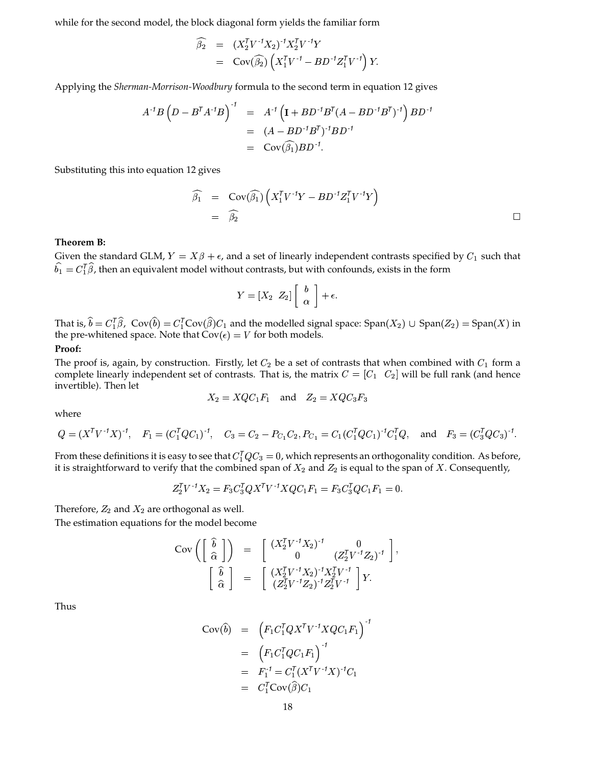while for the second model, the block diagonal form yields the familiar form

$$
\widehat{\beta}_2 = (X_2^T V^{-1} X_2)^{-1} X_2^T V^{-1} Y \n= \text{Cov}(\widehat{\beta}_2) (X_1^T V^{-1} - B D^{-1} Z_1^T V^{-1}) Y.
$$

Applying the *Sherman-Morrison-Woodbury* formula to the second term in equation 12 gives

$$
A^{-1}B(D - B^{T}A^{-1}B)^{-1} = A^{-1}(I + BD^{-1}B^{T}(A - BD^{-1}B^{T})^{-1})BD^{-1}
$$
  
=  $(A - BD^{-1}B^{T})^{-1}BD^{-1}$   
= Cov( $\widehat{\beta_1}$ )BD<sup>-1</sup>.

Substituting this into equation 12 gives

$$
\widehat{\beta_1} = \text{Cov}(\widehat{\beta_1}) \left( X_1^T V^{-1} Y - B D^{-1} Z_1^T V^{-1} Y \right) \n= \widehat{\beta_2} \qquad \qquad \Box
$$

#### **Theorem B:**

Given the standard GLM,  $Y = X\beta + \epsilon$ , and a set of linearly independent contrasts specified by  $C_1$  such that  $\widehat{b_1} = C_1^{\mathsf{T}}\widehat{\beta}$ , then an equivalent model without contrasts, but with confounds, exists in the form

$$
Y=[X_2 \ \ Z_2] \left[ \begin{array}{c} b \\ \alpha \end{array} \right] + \epsilon.
$$

That is,  $\hat{b} = C_1^T \hat{\beta}$ ,  $Cov(\hat{b}) = C_1^T Cov(\hat{\beta}) C_1$  and the modelled signal space: Span $(X_2) \cup Span(Z_2) = Span(X)$  in the pre-whitened space. Note that  $Cov(\epsilon) = V$  for both models.

#### **Proof:**

The proof is, again, by construction. Firstly, let  $C_2$  be a set of contrasts that when combined with  $C_1$  form a complete linearly independent set of contrasts. That is, the matrix  $C = [C_1 \quad C_2]$  will be full rank (and hence invertible). Then let

$$
X_2 = XQC_1F_1 \quad \text{and} \quad Z_2 = XQC_3F_3
$$

where

$$
Q = (X^T V^{-1} X)^{-1}, \quad F_1 = (C_1^T Q C_1)^{-1}, \quad C_3 = C_2 - P_{C_1} C_2, P_{C_1} = C_1 (C_1^T Q C_1)^{-1} C_1^T Q, \quad \text{and} \quad F_3 = (C_3^T Q C_3)^{-1}.
$$

From these definitions it is easy to see that  $C_1^T Q C_3 = 0$ , which represents an orthogonality condition. As before, it is straightforward to verify that the combined span of  $X_2$  and  $Z_2$  is equal to the span of X. Consequently,

$$
Z_2^T V^{-1} X_2 = F_3 C_3^T Q X^T V^{-1} X Q C_1 F_1 = F_3 C_3^T Q C_1 F_1 = 0.
$$

Therefore,  $Z_2$  and  $X_2$  are orthogonal as well.

The estimation equations for the model become

$$
Cov\left(\left[\begin{array}{c}\n\hat{b} \\
\hat{\alpha}\n\end{array}\right]\right) = \left[\begin{array}{cc} (X_2^T V^{-1} X_2)^{-1} & 0 \\
0 & (Z_2^T V^{-1} Z_2)^{-1}\n\end{array}\right],
$$
\n
$$
\left[\begin{array}{c}\n\hat{b} \\
\hat{\alpha}\n\end{array}\right] = \left[\begin{array}{cc} (X_2^T V^{-1} X_2)^{-1} X_2^T V^{-1} \\
(Z_2^T V^{-1} Z_2)^{-1} Z_2^T V^{-1}\n\end{array}\right] Y.
$$

Thus

$$
Cov(\hat{b}) = (F_1 C_1^T Q X^T V^{-1} X Q C_1 F_1)^{-1}
$$
  
= 
$$
(F_1 C_1^T Q C_1 F_1)^{-1}
$$
  
= 
$$
F_1^{-1} = C_1^T (X^T V^{-1} X)^{-1} C_1
$$
  
= 
$$
C_1^T Cov(\hat{\beta}) C_1
$$